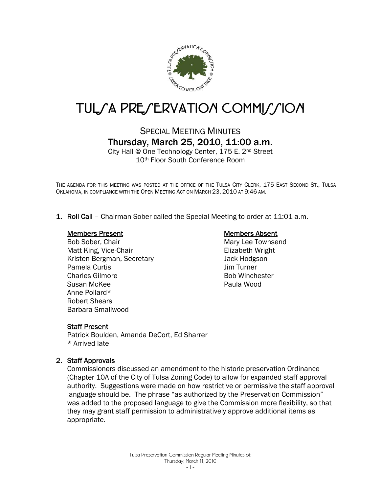

# TUL/A PRE/ERVATION COMMI//ION

# SPECIAL MEETING MINUTES Thursday, March 25, 2010, 11:00 a.m.

City Hall @ One Technology Center, 175 E. 2nd Street 10th Floor South Conference Room

THE AGENDA FOR THIS MEETING WAS POSTED AT THE OFFICE OF THE TULSA CITY CLERK, 175 EAST SECOND ST., TULSA OKLAHOMA, IN COMPLIANCE WITH THE OPEN MEETING ACT ON MARCH 23, 2010 AT 9:46 AM.

1. Roll Call – Chairman Sober called the Special Meeting to order at 11:01 a.m.

#### Members Present

Bob Sober, Chair Matt King, Vice-Chair Kristen Bergman, Secretary Pamela Curtis Charles Gilmore Susan McKee Anne Pollard\* Robert Shears Barbara Smallwood

#### Members Absent

Mary Lee Townsend Elizabeth Wright Jack Hodgson Jim Turner Bob Winchester Paula Wood

#### Staff Present

Patrick Boulden, Amanda DeCort, Ed Sharrer \* Arrived late

#### 2. Staff Approvals

Commissioners discussed an amendment to the historic preservation Ordinance (Chapter 10A of the City of Tulsa Zoning Code) to allow for expanded staff approval authority. Suggestions were made on how restrictive or permissive the staff approval language should be. The phrase "as authorized by the Preservation Commission" was added to the proposed language to give the Commission more flexibility, so that they may grant staff permission to administratively approve additional items as appropriate.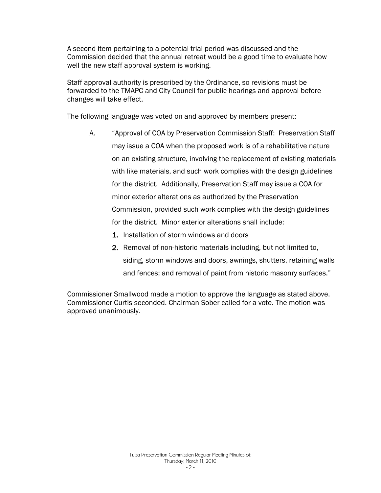A second item pertaining to a potential trial period was discussed and the Commission decided that the annual retreat would be a good time to evaluate how well the new staff approval system is working.

Staff approval authority is prescribed by the Ordinance, so revisions must be forwarded to the TMAPC and City Council for public hearings and approval before changes will take effect.

The following language was voted on and approved by members present:

- A. "Approval of COA by Preservation Commission Staff: Preservation Staff may issue a COA when the proposed work is of a rehabilitative nature on an existing structure, involving the replacement of existing materials with like materials, and such work complies with the design guidelines for the district. Additionally, Preservation Staff may issue a COA for minor exterior alterations as authorized by the Preservation Commission, provided such work complies with the design guidelines for the district. Minor exterior alterations shall include:
	- 1. Installation of storm windows and doors
	- 2. Removal of non-historic materials including, but not limited to, siding, storm windows and doors, awnings, shutters, retaining walls and fences; and removal of paint from historic masonry surfaces."

Commissioner Smallwood made a motion to approve the language as stated above. Commissioner Curtis seconded. Chairman Sober called for a vote. The motion was approved unanimously.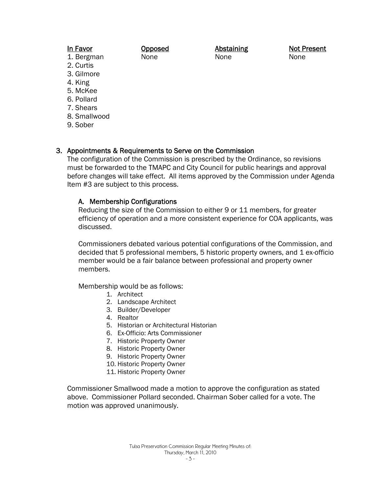## In Favor

- 1. Bergman
- 2. Curtis
- 3. Gilmore
- 4. King
- 5. McKee
- 6. Pollard
- 7. Shears
- 8. Smallwood
- 9. Sober

# 3. Appointments & Requirements to Serve on the Commission

Opposed None

The configuration of the Commission is prescribed by the Ordinance, so revisions must be forwarded to the TMAPC and City Council for public hearings and approval before changes will take effect. All items approved by the Commission under Agenda Item #3 are subject to this process.

## A. Membership Configurations

Reducing the size of the Commission to either 9 or 11 members, for greater efficiency of operation and a more consistent experience for COA applicants, was discussed.

Commissioners debated various potential configurations of the Commission, and decided that 5 professional members, 5 historic property owners, and 1 ex-officio member would be a fair balance between professional and property owner members.

Membership would be as follows:

- 1. Architect
- 2. Landscape Architect
- 3. Builder/Developer
- 4. Realtor
- 5. Historian or Architectural Historian
- 6. Ex-Officio: Arts Commissioner
- 7. Historic Property Owner
- 8. Historic Property Owner
- 9. Historic Property Owner
- 10. Historic Property Owner
- 11. Historic Property Owner

Commissioner Smallwood made a motion to approve the configuration as stated above. Commissioner Pollard seconded. Chairman Sober called for a vote. The motion was approved unanimously.

Abstaining None

Not Present None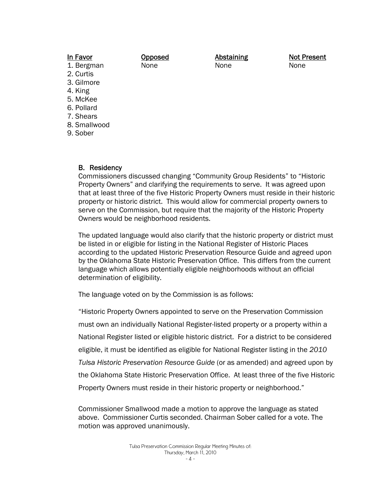| <b>In Favor</b> | <b>Opposed</b> | <b>Abstaining</b> | <b>Not Present</b> |
|-----------------|----------------|-------------------|--------------------|
| 1. Bergman      | None           | None              | None               |
| 2. Curtis       |                |                   |                    |
| 3. Gilmore      |                |                   |                    |
| 4. King         |                |                   |                    |
| 5. McKee        |                |                   |                    |
| 6. Pollard      |                |                   |                    |
| 7. Shears       |                |                   |                    |

- 8. Smallwood
- 9. Sober

#### B. Residency

Commissioners discussed changing "Community Group Residents" to "Historic Property Owners" and clarifying the requirements to serve. It was agreed upon that at least three of the five Historic Property Owners must reside in their historic property or historic district. This would allow for commercial property owners to serve on the Commission, but require that the majority of the Historic Property Owners would be neighborhood residents.

The updated language would also clarify that the historic property or district must be listed in or eligible for listing in the National Register of Historic Places according to the updated Historic Preservation Resource Guide and agreed upon by the Oklahoma State Historic Preservation Office. This differs from the current language which allows potentially eligible neighborhoods without an official determination of eligibility.

The language voted on by the Commission is as follows:

"Historic Property Owners appointed to serve on the Preservation Commission must own an individually National Register-listed property or a property within a National Register listed or eligible historic district. For a district to be considered eligible, it must be identified as eligible for National Register listing in the *2010 Tulsa Historic Preservation Resource Guide* (or as amended) and agreed upon by the Oklahoma State Historic Preservation Office. At least three of the five Historic Property Owners must reside in their historic property or neighborhood."

Commissioner Smallwood made a motion to approve the language as stated above. Commissioner Curtis seconded. Chairman Sober called for a vote. The motion was approved unanimously.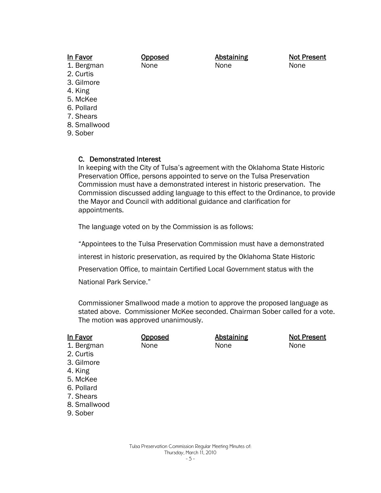#### In Favor

**Opposed** None

Abstaining None

Not Present None

- 1. Bergman
- 2. Curtis 3. Gilmore
- 4. King
- 
- 5. McKee 6. Pollard
- 7. Shears
- 8. Smallwood
- 
- 9. Sober

## C. Demonstrated Interest

In keeping with the City of Tulsa's agreement with the Oklahoma State Historic Preservation Office, persons appointed to serve on the Tulsa Preservation Commission must have a demonstrated interest in historic preservation. The Commission discussed adding language to this effect to the Ordinance, to provide the Mayor and Council with additional guidance and clarification for appointments.

The language voted on by the Commission is as follows:

"Appointees to the Tulsa Preservation Commission must have a demonstrated

interest in historic preservation, as required by the Oklahoma State Historic

Preservation Office, to maintain Certified Local Government status with the

National Park Service."

Commissioner Smallwood made a motion to approve the proposed language as stated above. Commissioner McKee seconded. Chairman Sober called for a vote. The motion was approved unanimously.

| In Favor     | <u>Opposed</u> | <b>Abstaining</b> | <b>Not Present</b> |
|--------------|----------------|-------------------|--------------------|
| 1. Bergman   | None           | None              | None               |
| 2. Curtis    |                |                   |                    |
| 3. Gilmore   |                |                   |                    |
| 4. King      |                |                   |                    |
| 5. McKee     |                |                   |                    |
| 6. Pollard   |                |                   |                    |
| 7. Shears    |                |                   |                    |
| 8. Smallwood |                |                   |                    |
| 9. Sober     |                |                   |                    |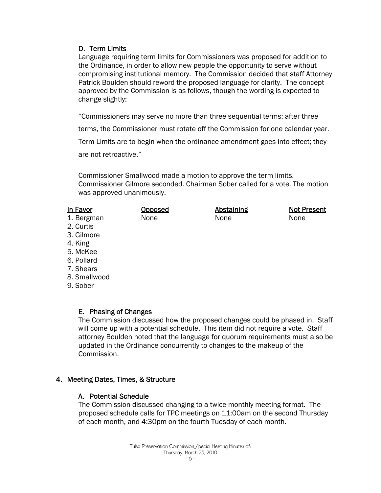## D. Term Limits

Language requiring term limits for Commissioners was proposed for addition to the Ordinance, in order to allow new people the opportunity to serve without compromising institutional memory. The Commission decided that staff Attorney Patrick Boulden should reword the proposed language for clarity. The concept approved by the Commission is as follows, though the wording is expected to change slightly:

"Commissioners may serve no more than three sequential terms; after three

terms, the Commissioner must rotate off the Commission for one calendar year.

Term Limits are to begin when the ordinance amendment goes into effect; they

are not retroactive."

Commissioner Smallwood made a motion to approve the term limits. Commissioner Gilmore seconded. Chairman Sober called for a vote. The motion was approved unanimously.

| In Favor    | <b>Opposed</b> | <b>Abstaining</b> | <b>Not Present</b> |
|-------------|----------------|-------------------|--------------------|
| 1. Bergman  | None           | None              | None               |
| 2. Curtis   |                |                   |                    |
| 3. Gilmore  |                |                   |                    |
| 4. King     |                |                   |                    |
| 5. McKee    |                |                   |                    |
| 6. Pollard  |                |                   |                    |
| $7$ Channel |                |                   |                    |

- 7. Shears
- 8. Smallwood
- 9. Sober

## E. Phasing of Changes

The Commission discussed how the proposed changes could be phased in. Staff will come up with a potential schedule. This item did not require a vote. Staff attorney Boulden noted that the language for quorum requirements must also be updated in the Ordinance concurrently to changes to the makeup of the Commission.

## 4. Meeting Dates, Times, & Structure

## A. Potential Schedule

The Commission discussed changing to a twice-monthly meeting format. The proposed schedule calls for TPC meetings on 11:00am on the second Thursday of each month, and 4:30pm on the fourth Tuesday of each month.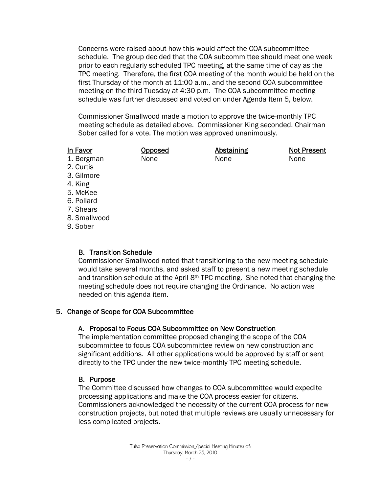Concerns were raised about how this would affect the COA subcommittee schedule. The group decided that the COA subcommittee should meet one week prior to each regularly scheduled TPC meeting, at the same time of day as the TPC meeting. Therefore, the first COA meeting of the month would be held on the first Thursday of the month at 11:00 a.m., and the second COA subcommittee meeting on the third Tuesday at 4:30 p.m. The COA subcommittee meeting schedule was further discussed and voted on under Agenda Item 5, below.

Commissioner Smallwood made a motion to approve the twice-monthly TPC meeting schedule as detailed above. Commissioner King seconded. Chairman Sober called for a vote. The motion was approved unanimously.

#### In Favor 1. Bergman

Opposed None

Abstaining None

Not Present None

- 2. Curtis
- 3. Gilmore
- 4. King
- 5. McKee
- 6. Pollard
- 7. Shears
- 8. Smallwood
- 9. Sober

# B. Transition Schedule

Commissioner Smallwood noted that transitioning to the new meeting schedule would take several months, and asked staff to present a new meeting schedule and transition schedule at the April 8th TPC meeting. She noted that changing the meeting schedule does not require changing the Ordinance. No action was needed on this agenda item.

# 5. Change of Scope for COA Subcommittee

# A. Proposal to Focus COA Subcommittee on New Construction

The implementation committee proposed changing the scope of the COA subcommittee to focus COA subcommittee review on new construction and significant additions. All other applications would be approved by staff or sent directly to the TPC under the new twice-monthly TPC meeting schedule.

# B. Purpose

The Committee discussed how changes to COA subcommittee would expedite processing applications and make the COA process easier for citizens. Commissioners acknowledged the necessity of the current COA process for new construction projects, but noted that multiple reviews are usually unnecessary for less complicated projects.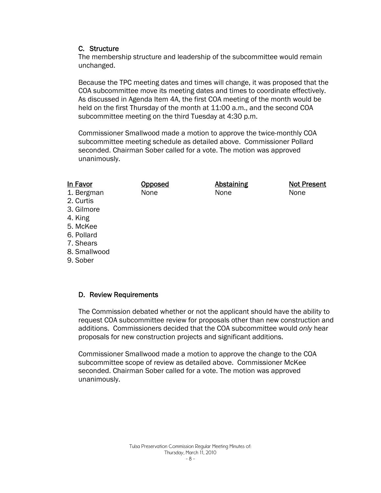#### C. Structure

The membership structure and leadership of the subcommittee would remain unchanged.

Because the TPC meeting dates and times will change, it was proposed that the COA subcommittee move its meeting dates and times to coordinate effectively. As discussed in Agenda Item 4A, the first COA meeting of the month would be held on the first Thursday of the month at 11:00 a.m., and the second COA subcommittee meeting on the third Tuesday at 4:30 p.m.

Commissioner Smallwood made a motion to approve the twice-monthly COA subcommittee meeting schedule as detailed above. Commissioner Pollard seconded. Chairman Sober called for a vote. The motion was approved unanimously.

> **Abstaining** None

Not Present

None

**Opposed** None

## In Favor

- 1. Bergman
- 2. Curtis
- 3. Gilmore
- 4. King
- 5. McKee
- 6. Pollard
- 7. Shears
- 8. Smallwood
- 9. Sober

## D. Review Requirements

The Commission debated whether or not the applicant should have the ability to request COA subcommittee review for proposals other than new construction and additions. Commissioners decided that the COA subcommittee would *only* hear proposals for new construction projects and significant additions.

Commissioner Smallwood made a motion to approve the change to the COA subcommittee scope of review as detailed above. Commissioner McKee seconded. Chairman Sober called for a vote. The motion was approved unanimously.